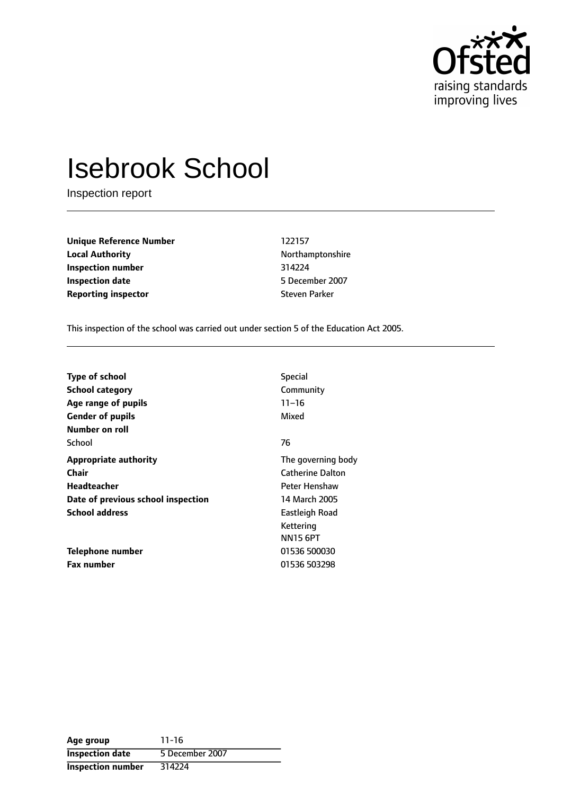

# Isebrook School

Inspection report

**Unique Reference Number** 122157 **Local Authority Northamptonshire Inspection number** 314224 **Inspection date** 5 December 2007 **Reporting inspector** Steven Parker

This inspection of the school was carried out under section 5 of the Education Act 2005.

| <b>Type of school</b>              | <b>Special</b>          |
|------------------------------------|-------------------------|
|                                    |                         |
| <b>School category</b>             | Community               |
| Age range of pupils                | $11 - 16$               |
| <b>Gender of pupils</b>            | Mixed                   |
| Number on roll                     |                         |
| School                             | 76                      |
| <b>Appropriate authority</b>       | The governing body      |
| Chair                              | <b>Catherine Dalton</b> |
| Headteacher                        | Peter Henshaw           |
| Date of previous school inspection | 14 March 2005           |
| <b>School address</b>              | Eastleigh Road          |
|                                    | Kettering               |
|                                    | <b>NN15 6PT</b>         |
| Telephone number                   | 01536 500030            |
| <b>Fax number</b>                  | 01536 503298            |

| Age group                | $11 - 16$       |
|--------------------------|-----------------|
| <b>Inspection date</b>   | 5 December 2007 |
| <b>Inspection number</b> | 314224          |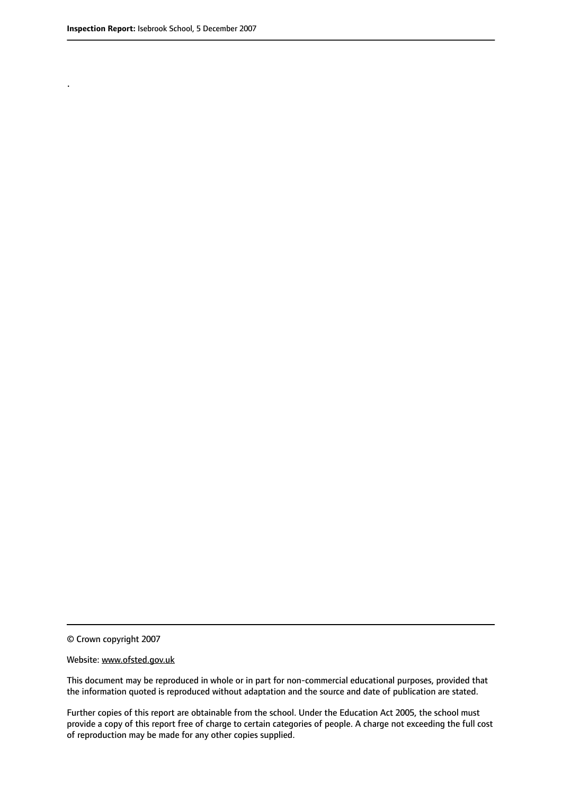.

© Crown copyright 2007

#### Website: www.ofsted.gov.uk

This document may be reproduced in whole or in part for non-commercial educational purposes, provided that the information quoted is reproduced without adaptation and the source and date of publication are stated.

Further copies of this report are obtainable from the school. Under the Education Act 2005, the school must provide a copy of this report free of charge to certain categories of people. A charge not exceeding the full cost of reproduction may be made for any other copies supplied.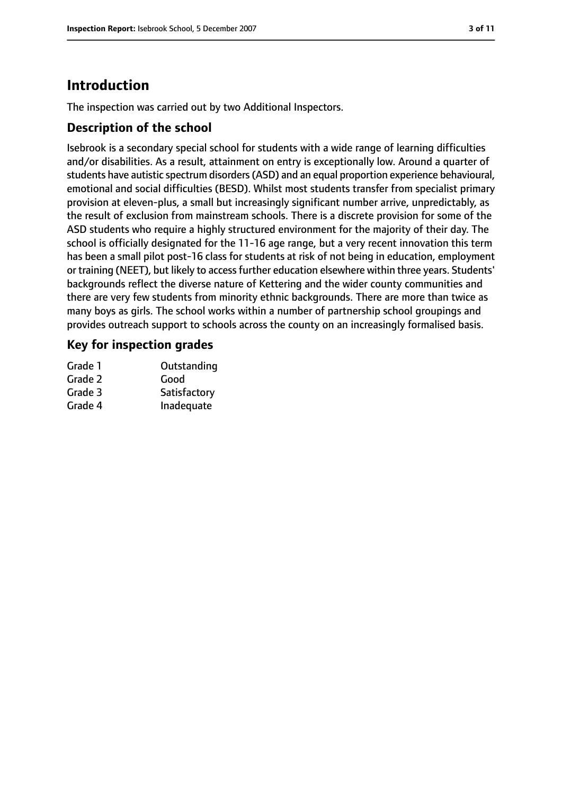# **Introduction**

The inspection was carried out by two Additional Inspectors.

#### **Description of the school**

Isebrook is a secondary special school for students with a wide range of learning difficulties and/or disabilities. As a result, attainment on entry is exceptionally low. Around a quarter of students have autistic spectrum disorders(ASD) and an equal proportion experience behavioural, emotional and social difficulties (BESD). Whilst most students transfer from specialist primary provision at eleven-plus, a small but increasingly significant number arrive, unpredictably, as the result of exclusion from mainstream schools. There is a discrete provision for some of the ASD students who require a highly structured environment for the majority of their day. The school is officially designated for the 11-16 age range, but a very recent innovation this term has been a small pilot post-16 class for students at risk of not being in education, employment or training (NEET), but likely to accessfurther education elsewhere within three years. Students' backgrounds reflect the diverse nature of Kettering and the wider county communities and there are very few students from minority ethnic backgrounds. There are more than twice as many boys as girls. The school works within a number of partnership school groupings and provides outreach support to schools across the county on an increasingly formalised basis.

#### **Key for inspection grades**

| Grade 1 | Outstanding  |
|---------|--------------|
| Grade 2 | Good         |
| Grade 3 | Satisfactory |
| Grade 4 | Inadequate   |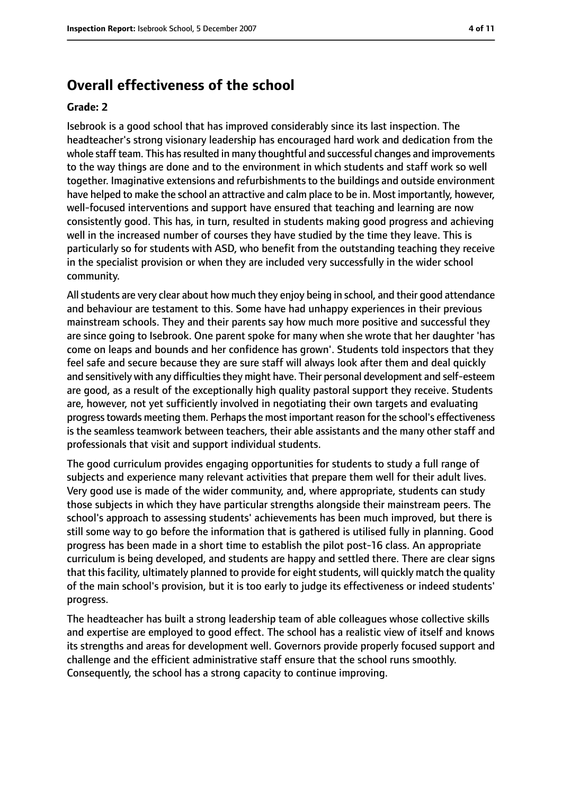### **Overall effectiveness of the school**

#### **Grade: 2**

Isebrook is a good school that has improved considerably since its last inspection. The headteacher's strong visionary leadership has encouraged hard work and dedication from the whole staff team. This has resulted in many thoughtful and successful changes and improvements to the way things are done and to the environment in which students and staff work so well together. Imaginative extensions and refurbishments to the buildings and outside environment have helped to make the school an attractive and calm place to be in. Most importantly, however, well-focused interventions and support have ensured that teaching and learning are now consistently good. This has, in turn, resulted in students making good progress and achieving well in the increased number of courses they have studied by the time they leave. This is particularly so for students with ASD, who benefit from the outstanding teaching they receive in the specialist provision or when they are included very successfully in the wider school community.

Allstudents are very clear about how much they enjoy being in school, and their good attendance and behaviour are testament to this. Some have had unhappy experiences in their previous mainstream schools. They and their parents say how much more positive and successful they are since going to Isebrook. One parent spoke for many when she wrote that her daughter 'has come on leaps and bounds and her confidence has grown'. Students told inspectors that they feel safe and secure because they are sure staff will always look after them and deal quickly and sensitively with any difficulties they might have. Their personal development and self-esteem are good, as a result of the exceptionally high quality pastoral support they receive. Students are, however, not yet sufficiently involved in negotiating their own targets and evaluating progress towards meeting them. Perhaps the most important reason for the school's effectiveness is the seamless teamwork between teachers, their able assistants and the many other staff and professionals that visit and support individual students.

The good curriculum provides engaging opportunities for students to study a full range of subjects and experience many relevant activities that prepare them well for their adult lives. Very good use is made of the wider community, and, where appropriate, students can study those subjects in which they have particular strengths alongside their mainstream peers. The school's approach to assessing students' achievements has been much improved, but there is still some way to go before the information that is gathered is utilised fully in planning. Good progress has been made in a short time to establish the pilot post-16 class. An appropriate curriculum is being developed, and students are happy and settled there. There are clear signs that this facility, ultimately planned to provide for eight students, will quickly match the quality of the main school's provision, but it is too early to judge its effectiveness or indeed students' progress.

The headteacher has built a strong leadership team of able colleagues whose collective skills and expertise are employed to good effect. The school has a realistic view of itself and knows its strengths and areas for development well. Governors provide properly focused support and challenge and the efficient administrative staff ensure that the school runs smoothly. Consequently, the school has a strong capacity to continue improving.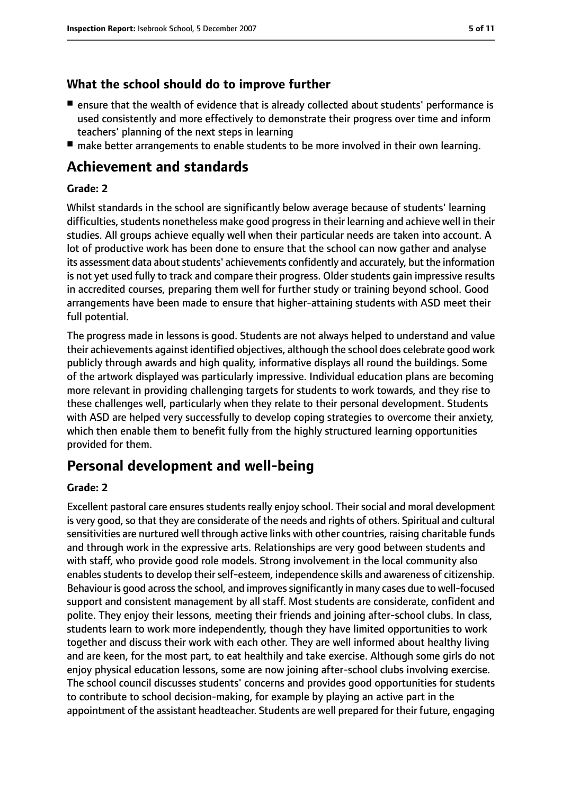#### **What the school should do to improve further**

- ensure that the wealth of evidence that is already collected about students' performance is used consistently and more effectively to demonstrate their progress over time and inform teachers' planning of the next steps in learning
- make better arrangements to enable students to be more involved in their own learning.

## **Achievement and standards**

#### **Grade: 2**

Whilst standards in the school are significantly below average because of students' learning difficulties, students nonetheless make good progress in their learning and achieve well in their studies. All groups achieve equally well when their particular needs are taken into account. A lot of productive work has been done to ensure that the school can now gather and analyse its assessment data about students' achievements confidently and accurately, but the information is not yet used fully to track and compare their progress. Older students gain impressive results in accredited courses, preparing them well for further study or training beyond school. Good arrangements have been made to ensure that higher-attaining students with ASD meet their full potential.

The progress made in lessons is good. Students are not always helped to understand and value their achievements against identified objectives, although the school does celebrate good work publicly through awards and high quality, informative displays all round the buildings. Some of the artwork displayed was particularly impressive. Individual education plans are becoming more relevant in providing challenging targets for students to work towards, and they rise to these challenges well, particularly when they relate to their personal development. Students with ASD are helped very successfully to develop coping strategies to overcome their anxiety, which then enable them to benefit fully from the highly structured learning opportunities provided for them.

## **Personal development and well-being**

#### **Grade: 2**

Excellent pastoral care ensures students really enjoy school. Their social and moral development is very good, so that they are considerate of the needs and rights of others. Spiritual and cultural sensitivities are nurtured well through active links with other countries, raising charitable funds and through work in the expressive arts. Relationships are very good between students and with staff, who provide good role models. Strong involvement in the local community also enables students to develop their self-esteem, independence skills and awareness of citizenship. Behaviour is good across the school, and improves significantly in many cases due to well-focused support and consistent management by all staff. Most students are considerate, confident and polite. They enjoy their lessons, meeting their friends and joining after-school clubs. In class, students learn to work more independently, though they have limited opportunities to work together and discuss their work with each other. They are well informed about healthy living and are keen, for the most part, to eat healthily and take exercise. Although some girls do not enjoy physical education lessons, some are now joining after-school clubs involving exercise. The school council discusses students' concerns and provides good opportunities for students to contribute to school decision-making, for example by playing an active part in the appointment of the assistant headteacher. Students are well prepared for their future, engaging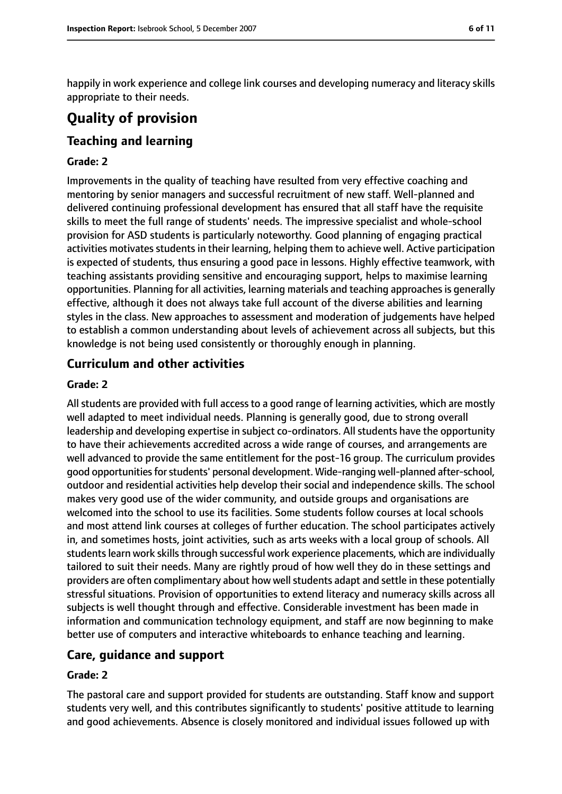happily in work experience and college link courses and developing numeracy and literacy skills appropriate to their needs.

# **Quality of provision**

## **Teaching and learning**

#### **Grade: 2**

Improvements in the quality of teaching have resulted from very effective coaching and mentoring by senior managers and successful recruitment of new staff. Well-planned and delivered continuing professional development has ensured that all staff have the requisite skills to meet the full range of students' needs. The impressive specialist and whole-school provision for ASD students is particularly noteworthy. Good planning of engaging practical activities motivates students in their learning, helping them to achieve well. Active participation is expected of students, thus ensuring a good pace in lessons. Highly effective teamwork, with teaching assistants providing sensitive and encouraging support, helps to maximise learning opportunities. Planning for all activities, learning materials and teaching approaches is generally effective, although it does not always take full account of the diverse abilities and learning styles in the class. New approaches to assessment and moderation of judgements have helped to establish a common understanding about levels of achievement across all subjects, but this knowledge is not being used consistently or thoroughly enough in planning.

#### **Curriculum and other activities**

#### **Grade: 2**

All students are provided with full access to a good range of learning activities, which are mostly well adapted to meet individual needs. Planning is generally good, due to strong overall leadership and developing expertise in subject co-ordinators. All students have the opportunity to have their achievements accredited across a wide range of courses, and arrangements are well advanced to provide the same entitlement for the post-16 group. The curriculum provides good opportunities for students' personal development. Wide-ranging well-planned after-school, outdoor and residential activities help develop their social and independence skills. The school makes very good use of the wider community, and outside groups and organisations are welcomed into the school to use its facilities. Some students follow courses at local schools and most attend link courses at colleges of further education. The school participates actively in, and sometimes hosts, joint activities, such as arts weeks with a local group of schools. All students learn work skills through successful work experience placements, which are individually tailored to suit their needs. Many are rightly proud of how well they do in these settings and providers are often complimentary about how well students adapt and settle in these potentially stressful situations. Provision of opportunities to extend literacy and numeracy skills across all subjects is well thought through and effective. Considerable investment has been made in information and communication technology equipment, and staff are now beginning to make better use of computers and interactive whiteboards to enhance teaching and learning.

#### **Care, guidance and support**

#### **Grade: 2**

The pastoral care and support provided for students are outstanding. Staff know and support students very well, and this contributes significantly to students' positive attitude to learning and good achievements. Absence is closely monitored and individual issues followed up with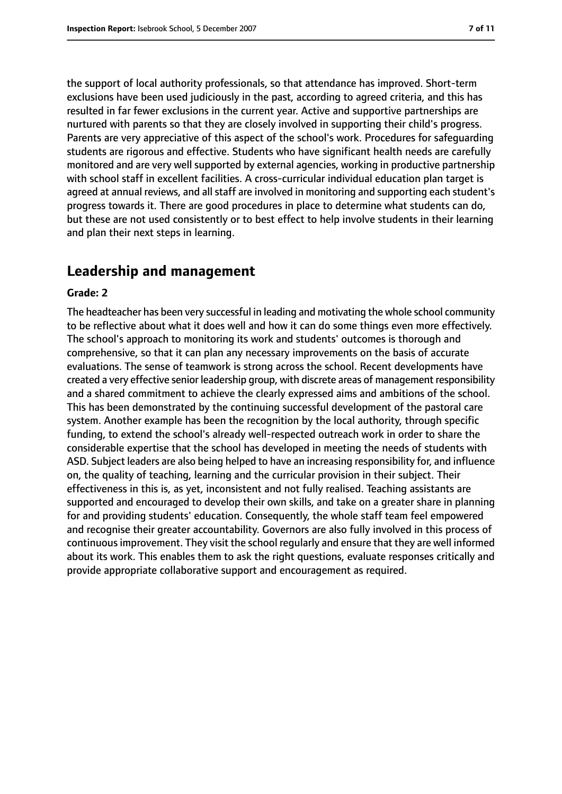the support of local authority professionals, so that attendance has improved. Short-term exclusions have been used judiciously in the past, according to agreed criteria, and this has resulted in far fewer exclusions in the current year. Active and supportive partnerships are nurtured with parents so that they are closely involved in supporting their child's progress. Parents are very appreciative of this aspect of the school's work. Procedures for safeguarding students are rigorous and effective. Students who have significant health needs are carefully monitored and are very well supported by external agencies, working in productive partnership with school staff in excellent facilities. A cross-curricular individual education plan target is agreed at annual reviews, and all staff are involved in monitoring and supporting each student's progress towards it. There are good procedures in place to determine what students can do, but these are not used consistently or to best effect to help involve students in their learning and plan their next steps in learning.

#### **Leadership and management**

#### **Grade: 2**

The headteacher has been very successful in leading and motivating the whole school community to be reflective about what it does well and how it can do some things even more effectively. The school's approach to monitoring its work and students' outcomes is thorough and comprehensive, so that it can plan any necessary improvements on the basis of accurate evaluations. The sense of teamwork is strong across the school. Recent developments have created a very effective senior leadership group, with discrete areas of management responsibility and a shared commitment to achieve the clearly expressed aims and ambitions of the school. This has been demonstrated by the continuing successful development of the pastoral care system. Another example has been the recognition by the local authority, through specific funding, to extend the school's already well-respected outreach work in order to share the considerable expertise that the school has developed in meeting the needs of students with ASD. Subject leaders are also being helped to have an increasing responsibility for, and influence on, the quality of teaching, learning and the curricular provision in their subject. Their effectiveness in this is, as yet, inconsistent and not fully realised. Teaching assistants are supported and encouraged to develop their own skills, and take on a greater share in planning for and providing students' education. Consequently, the whole staff team feel empowered and recognise their greater accountability. Governors are also fully involved in this process of continuousimprovement. They visit the school regularly and ensure that they are well informed about its work. This enables them to ask the right questions, evaluate responses critically and provide appropriate collaborative support and encouragement as required.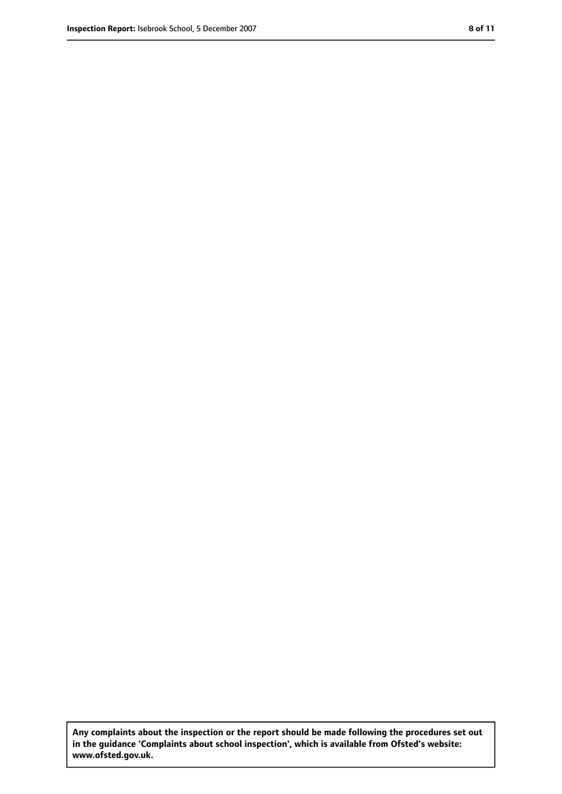**Any complaints about the inspection or the report should be made following the procedures set out in the guidance 'Complaints about school inspection', which is available from Ofsted's website: www.ofsted.gov.uk.**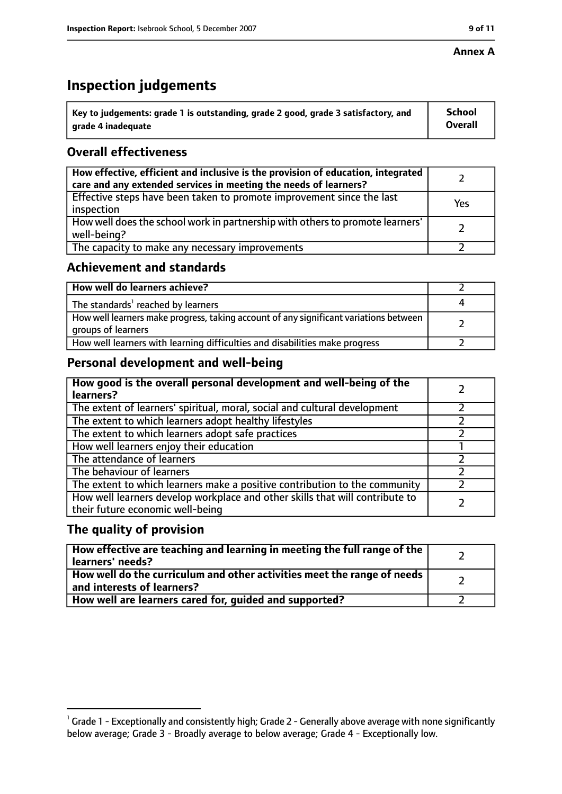#### **Annex A**

# **Inspection judgements**

| $\dot{ }$ Key to judgements: grade 1 is outstanding, grade 2 good, grade 3 satisfactory, and | School         |
|----------------------------------------------------------------------------------------------|----------------|
| arade 4 inadeguate                                                                           | <b>Overall</b> |

#### **Overall effectiveness**

| How effective, efficient and inclusive is the provision of education, integrated<br>care and any extended services in meeting the needs of learners? |     |
|------------------------------------------------------------------------------------------------------------------------------------------------------|-----|
| Effective steps have been taken to promote improvement since the last<br>inspection                                                                  | Yes |
| How well does the school work in partnership with others to promote learners'<br>well-being?                                                         |     |
| The capacity to make any necessary improvements                                                                                                      |     |

#### **Achievement and standards**

| How well do learners achieve?                                                                               |  |
|-------------------------------------------------------------------------------------------------------------|--|
| The standards <sup>1</sup> reached by learners                                                              |  |
| How well learners make progress, taking account of any significant variations between<br>groups of learners |  |
| How well learners with learning difficulties and disabilities make progress                                 |  |

## **Personal development and well-being**

| How good is the overall personal development and well-being of the<br>learners?                                  |  |
|------------------------------------------------------------------------------------------------------------------|--|
| The extent of learners' spiritual, moral, social and cultural development                                        |  |
| The extent to which learners adopt healthy lifestyles                                                            |  |
| The extent to which learners adopt safe practices                                                                |  |
| How well learners enjoy their education                                                                          |  |
| The attendance of learners                                                                                       |  |
| The behaviour of learners                                                                                        |  |
| The extent to which learners make a positive contribution to the community                                       |  |
| How well learners develop workplace and other skills that will contribute to<br>their future economic well-being |  |

#### **The quality of provision**

| How effective are teaching and learning in meeting the full range of the<br>learners' needs?                     |  |
|------------------------------------------------------------------------------------------------------------------|--|
| How well do the curriculum and other activities meet the range of needs<br>$^{\rm t}$ and interests of learners? |  |
| How well are learners cared for, guided and supported?                                                           |  |

 $^1$  Grade 1 - Exceptionally and consistently high; Grade 2 - Generally above average with none significantly below average; Grade 3 - Broadly average to below average; Grade 4 - Exceptionally low.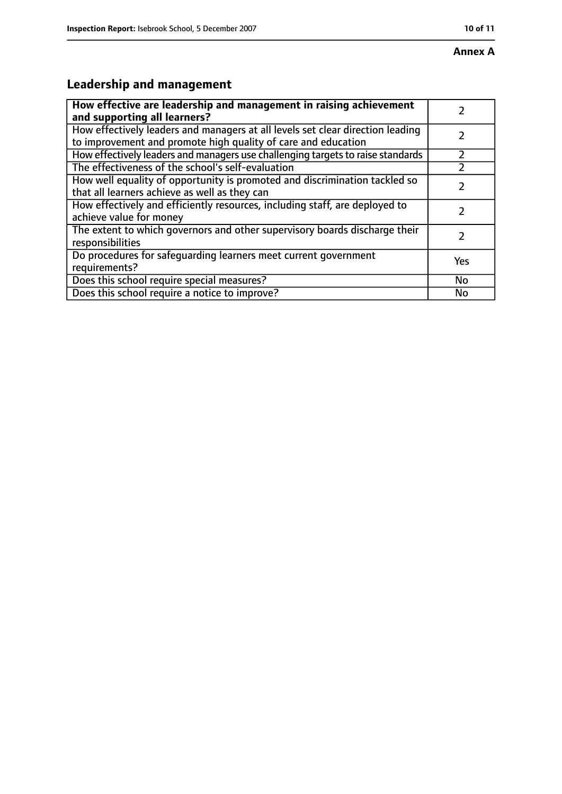## **Annex A**

# **Leadership and management**

| How effective are leadership and management in raising achievement<br>and supporting all learners?                                              |     |
|-------------------------------------------------------------------------------------------------------------------------------------------------|-----|
| How effectively leaders and managers at all levels set clear direction leading<br>to improvement and promote high quality of care and education |     |
| How effectively leaders and managers use challenging targets to raise standards                                                                 |     |
| The effectiveness of the school's self-evaluation                                                                                               |     |
| How well equality of opportunity is promoted and discrimination tackled so<br>that all learners achieve as well as they can                     |     |
| How effectively and efficiently resources, including staff, are deployed to<br>achieve value for money                                          | 7   |
| The extent to which governors and other supervisory boards discharge their<br>responsibilities                                                  |     |
| Do procedures for safequarding learners meet current government<br>requirements?                                                                | Yes |
| Does this school require special measures?                                                                                                      | No  |
| Does this school require a notice to improve?                                                                                                   | No  |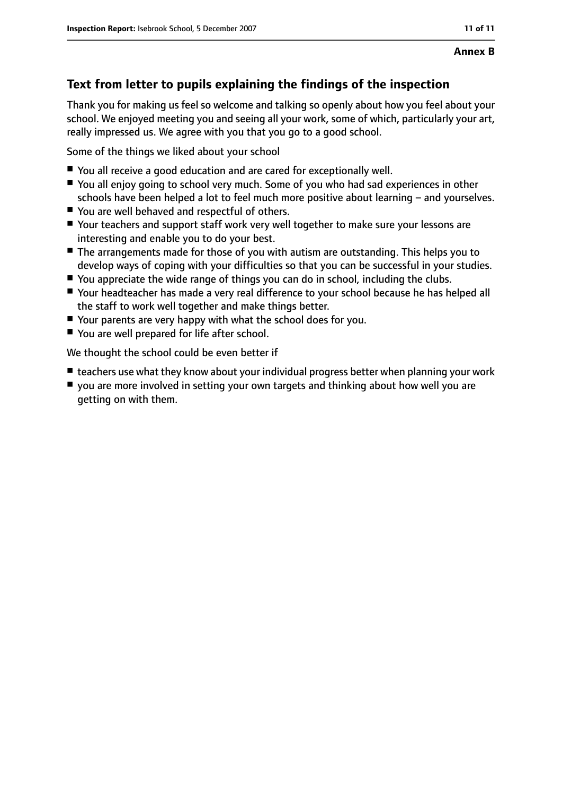## **Text from letter to pupils explaining the findings of the inspection**

Thank you for making us feel so welcome and talking so openly about how you feel about your school. We enjoyed meeting you and seeing all your work, some of which, particularly your art, really impressed us. We agree with you that you go to a good school.

Some of the things we liked about your school

- You all receive a good education and are cared for exceptionally well.
- You all enjoy going to school very much. Some of you who had sad experiences in other schools have been helped a lot to feel much more positive about learning  $-$  and yourselves.
- You are well behaved and respectful of others.
- Your teachers and support staff work very well together to make sure your lessons are interesting and enable you to do your best.
- The arrangements made for those of you with autism are outstanding. This helps you to develop ways of coping with your difficulties so that you can be successful in your studies.
- You appreciate the wide range of things you can do in school, including the clubs.
- Your headteacher has made a very real difference to your school because he has helped all the staff to work well together and make things better.
- Your parents are very happy with what the school does for you.
- You are well prepared for life after school.

We thought the school could be even better if

- teachers use what they know about your individual progress better when planning your work
- you are more involved in setting your own targets and thinking about how well you are getting on with them.